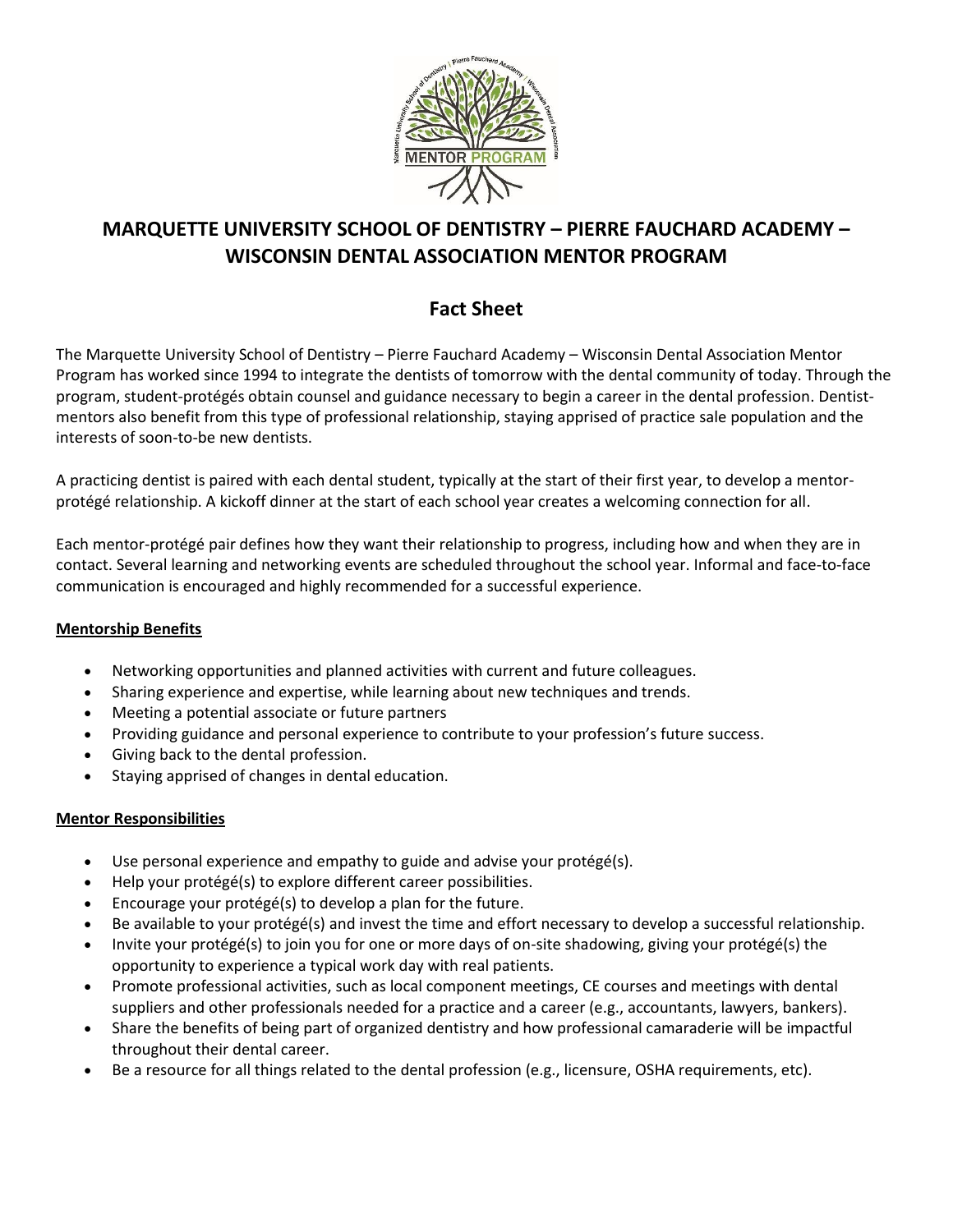

# **MARQUETTE UNIVERSITY SCHOOL OF DENTISTRY – PIERRE FAUCHARD ACADEMY – WISCONSIN DENTAL ASSOCIATION MENTOR PROGRAM**

# **Fact Sheet**

The Marquette University School of Dentistry – Pierre Fauchard Academy – Wisconsin Dental Association Mentor Program has worked since 1994 to integrate the dentists of tomorrow with the dental community of today. Through the program, student-protégés obtain counsel and guidance necessary to begin a career in the dental profession. Dentistmentors also benefit from this type of professional relationship, staying apprised of practice sale population and the interests of soon-to-be new dentists.

A practicing dentist is paired with each dental student, typically at the start of their first year, to develop a mentorprotégé relationship. A kickoff dinner at the start of each school year creates a welcoming connection for all.

Each mentor-protégé pair defines how they want their relationship to progress, including how and when they are in contact. Several learning and networking events are scheduled throughout the school year. Informal and face-to-face communication is encouraged and highly recommended for a successful experience.

## **Mentorship Benefits**

- Networking opportunities and planned activities with current and future colleagues.
- Sharing experience and expertise, while learning about new techniques and trends.
- Meeting a potential associate or future partners
- Providing guidance and personal experience to contribute to your profession's future success.
- Giving back to the dental profession.
- Staying apprised of changes in dental education.

## **Mentor Responsibilities**

- Use personal experience and empathy to guide and advise your protégé(s).
- Help your protégé(s) to explore different career possibilities.
- Encourage your protégé(s) to develop a plan for the future.
- Be available to your protégé(s) and invest the time and effort necessary to develop a successful relationship.
- Invite your protégé(s) to join you for one or more days of on-site shadowing, giving your protégé(s) the opportunity to experience a typical work day with real patients.
- Promote professional activities, such as local component meetings, CE courses and meetings with dental suppliers and other professionals needed for a practice and a career (e.g., accountants, lawyers, bankers).
- Share the benefits of being part of organized dentistry and how professional camaraderie will be impactful throughout their dental career.
- Be a resource for all things related to the dental profession (e.g., licensure, OSHA requirements, etc).